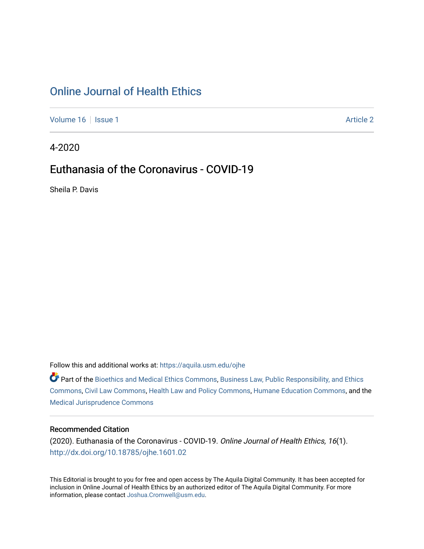# [Online Journal of Health Ethics](https://aquila.usm.edu/ojhe)

[Volume 16](https://aquila.usm.edu/ojhe/vol16) | [Issue 1](https://aquila.usm.edu/ojhe/vol16/iss1) Article 2

4-2020

# Euthanasia of the Coronavirus - COVID-19

Sheila P. Davis

Follow this and additional works at: [https://aquila.usm.edu/ojhe](https://aquila.usm.edu/ojhe?utm_source=aquila.usm.edu%2Fojhe%2Fvol16%2Fiss1%2F2&utm_medium=PDF&utm_campaign=PDFCoverPages)

Part of the [Bioethics and Medical Ethics Commons,](http://network.bepress.com/hgg/discipline/650?utm_source=aquila.usm.edu%2Fojhe%2Fvol16%2Fiss1%2F2&utm_medium=PDF&utm_campaign=PDFCoverPages) [Business Law, Public Responsibility, and Ethics](http://network.bepress.com/hgg/discipline/628?utm_source=aquila.usm.edu%2Fojhe%2Fvol16%2Fiss1%2F2&utm_medium=PDF&utm_campaign=PDFCoverPages) [Commons](http://network.bepress.com/hgg/discipline/628?utm_source=aquila.usm.edu%2Fojhe%2Fvol16%2Fiss1%2F2&utm_medium=PDF&utm_campaign=PDFCoverPages), [Civil Law Commons,](http://network.bepress.com/hgg/discipline/835?utm_source=aquila.usm.edu%2Fojhe%2Fvol16%2Fiss1%2F2&utm_medium=PDF&utm_campaign=PDFCoverPages) [Health Law and Policy Commons,](http://network.bepress.com/hgg/discipline/901?utm_source=aquila.usm.edu%2Fojhe%2Fvol16%2Fiss1%2F2&utm_medium=PDF&utm_campaign=PDFCoverPages) [Humane Education Commons](http://network.bepress.com/hgg/discipline/1295?utm_source=aquila.usm.edu%2Fojhe%2Fvol16%2Fiss1%2F2&utm_medium=PDF&utm_campaign=PDFCoverPages), and the [Medical Jurisprudence Commons](http://network.bepress.com/hgg/discipline/860?utm_source=aquila.usm.edu%2Fojhe%2Fvol16%2Fiss1%2F2&utm_medium=PDF&utm_campaign=PDFCoverPages) 

#### Recommended Citation

(2020). Euthanasia of the Coronavirus - COVID-19. Online Journal of Health Ethics, 16(1). <http://dx.doi.org/10.18785/ojhe.1601.02>

This Editorial is brought to you for free and open access by The Aquila Digital Community. It has been accepted for inclusion in Online Journal of Health Ethics by an authorized editor of The Aquila Digital Community. For more information, please contact [Joshua.Cromwell@usm.edu.](mailto:Joshua.Cromwell@usm.edu)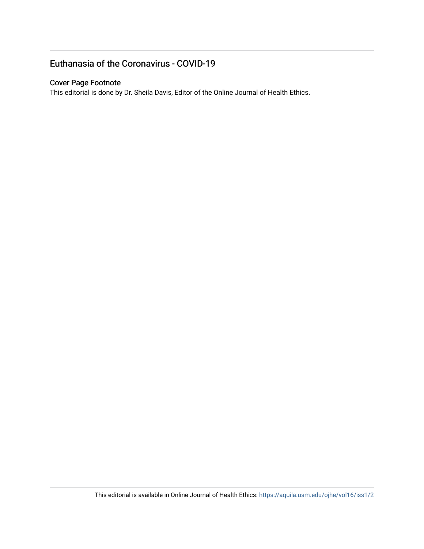## Euthanasia of the Coronavirus - COVID-19

#### Cover Page Footnote

This editorial is done by Dr. Sheila Davis, Editor of the Online Journal of Health Ethics.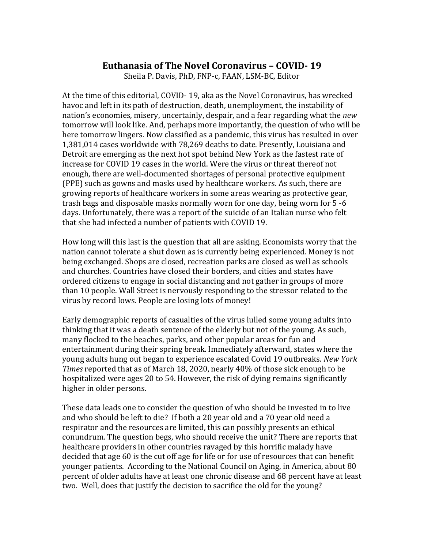### **Euthanasia of The Novel Coronavirus – COVID- 19**

Sheila P. Davis, PhD, FNP-c, FAAN, LSM-BC, Editor

At the time of this editorial, COVID- 19, aka as the Novel Coronavirus, has wrecked havoc and left in its path of destruction, death, unemployment, the instability of nation's economies, misery, uncertainly, despair, and a fear regarding what the *new* tomorrow will look like. And, perhaps more importantly, the question of who will be here tomorrow lingers. Now classified as a pandemic, this virus has resulted in over 1,381,014 cases worldwide with 78,269 deaths to date. Presently, Louisiana and Detroit are emerging as the next hot spot behind New York as the fastest rate of increase for COVID 19 cases in the world. Were the virus or threat thereof not enough, there are well-documented shortages of personal protective equipment (PPE) such as gowns and masks used by healthcare workers. As such, there are growing reports of healthcare workers in some areas wearing as protective gear, trash bags and disposable masks normally worn for one day, being worn for 5 -6 days. Unfortunately, there was a report of the suicide of an Italian nurse who felt that she had infected a number of patients with COVID 19.

How long will this last is the question that all are asking. Economists worry that the nation cannot tolerate a shut down as is currently being experienced. Money is not being exchanged. Shops are closed, recreation parks are closed as well as schools and churches. Countries have closed their borders, and cities and states have ordered citizens to engage in social distancing and not gather in groups of more than 10 people. Wall Street is nervously responding to the stressor related to the virus by record lows. People are losing lots of money!

Early demographic reports of casualties of the virus lulled some young adults into thinking that it was a death sentence of the elderly but not of the young. As such, many flocked to the beaches, parks, and other popular areas for fun and entertainment during their spring break. Immediately afterward, states where the young adults hung out began to experience escalated Covid 19 outbreaks. *New York Times* reported that as of March 18, 2020, nearly 40% of those sick enough to be hospitalized were ages 20 to 54. However, the risk of dying remains significantly higher in older persons.

These data leads one to consider the question of who should be invested in to live and who should be left to die? If both a 20 year old and a 70 year old need a respirator and the resources are limited, this can possibly presents an ethical conundrum. The question begs, who should receive the unit? There are reports that healthcare providers in other countries ravaged by this horrific malady have decided that age 60 is the cut off age for life or for use of resources that can benefit younger patients. According to the National Council on Aging, in America, about 80 percent of older adults have at least one chronic disease and 68 percent have at least two. Well, does that justify the decision to sacrifice the old for the young?